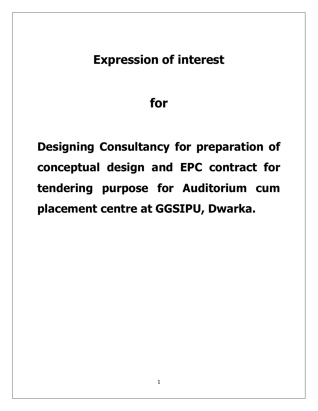# **Expression of interest**

# **for**

**Designing Consultancy for preparation of conceptual design and EPC contract for tendering purpose for Auditorium cum placement centre at GGSIPU, Dwarka.**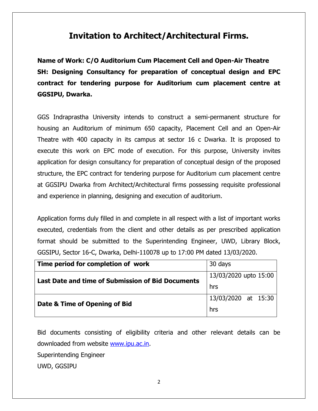# **Invitation to Architect/Architectural Firms.**

**Name of Work: C/O Auditorium Cum Placement Cell and Open-Air Theatre SH: Designing Consultancy for preparation of conceptual design and EPC contract for tendering purpose for Auditorium cum placement centre at GGSIPU, Dwarka.**

GGS Indraprastha University intends to construct a semi-permanent structure for housing an Auditorium of minimum 650 capacity, Placement Cell and an Open-Air Theatre with 400 capacity in its campus at sector 16 c Dwarka. It is proposed to execute this work on EPC mode of execution. For this purpose, University invites application for design consultancy for preparation of conceptual design of the proposed structure, the EPC contract for tendering purpose for Auditorium cum placement centre at GGSIPU Dwarka from Architect/Architectural firms possessing requisite professional and experience in planning, designing and execution of auditorium.

Application forms duly filled in and complete in all respect with a list of important works executed, credentials from the client and other details as per prescribed application format should be submitted to the Superintending Engineer, UWD, Library Block, GGSIPU, Sector 16-C, Dwarka, Delhi-110078 up to 17:00 PM dated 13/03/2020.

| Time period for completion of work                | 30 days               |
|---------------------------------------------------|-----------------------|
| Last Date and time of Submission of Bid Documents | 13/03/2020 upto 15:00 |
|                                                   | hrs                   |
| Date & Time of Opening of Bid                     | 13/03/2020 at 15:30   |
|                                                   | hrs                   |

Bid documents consisting of eligibility criteria and other relevant details can be downloaded from website [www.ipu.ac.in.](http://www.ipu.ac.in/)

Superintending Engineer

UWD, GGSIPU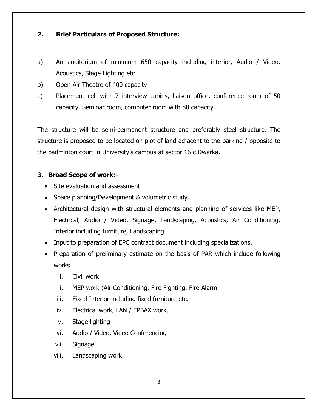# **2. Brief Particulars of Proposed Structure:**

- a) An auditorium of minimum 650 capacity including interior, Audio / Video, Acoustics, Stage Lighting etc
- b) Open Air Theatre of 400 capacity
- c) Placement cell with 7 interview cabins, liaison office, conference room of 50 capacity, Seminar room, computer room with 80 capacity.

The structure will be semi-permanent structure and preferably steel structure. The structure is proposed to be located on plot of land adjacent to the parking / opposite to the badminton court in University"s campus at sector 16 c Dwarka.

# **3. Broad Scope of work:-**

- Site evaluation and assessment
- Space planning/Development & volumetric study.
- Architectural design with structural elements and planning of services like MEP, Electrical, Audio / Video, Signage, Landscaping, Acoustics, Air Conditioning, Interior including furniture, Landscaping
- Input to preparation of EPC contract document including specializations.
- Preparation of preliminary estimate on the basis of PAR which include following works
	- i. Civil work
	- ii. MEP work (Air Conditioning, Fire Fighting, Fire Alarm
	- iii. Fixed Interior including fixed furniture etc.
	- iv. Electrical work, LAN / EPBAX work,
	- v. Stage lighting
	- vi. Audio / Video, Video Conferencing
	- vii. Signage
	- viii. Landscaping work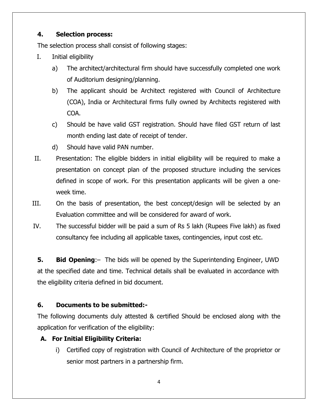## **4. Selection process:**

The selection process shall consist of following stages:

- I. Initial eligibility
	- a) The architect/architectural firm should have successfully completed one work of Auditorium designing/planning.
	- b) The applicant should be Architect registered with Council of Architecture (COA), India or Architectural firms fully owned by Architects registered with COA.
	- c) Should be have valid GST registration. Should have filed GST return of last month ending last date of receipt of tender.
	- d) Should have valid PAN number.
- II. Presentation: The eligible bidders in initial eligibility will be required to make a presentation on concept plan of the proposed structure including the services defined in scope of work. For this presentation applicants will be given a oneweek time.
- III. On the basis of presentation, the best concept/design will be selected by an Evaluation committee and will be considered for award of work.
- IV. The successful bidder will be paid a sum of Rs 5 lakh (Rupees Five lakh) as fixed consultancy fee including all applicable taxes, contingencies, input cost etc.

**5. Bid Opening**:– The bids will be opened by the Superintending Engineer, UWD at the specified date and time. Technical details shall be evaluated in accordance with the eligibility criteria defined in bid document.

# **6. Documents to be submitted:-**

The following documents duly attested & certified Should be enclosed along with the application for verification of the eligibility:

# **A. For Initial Eligibility Criteria:**

i) Certified copy of registration with Council of Architecture of the proprietor or senior most partners in a partnership firm.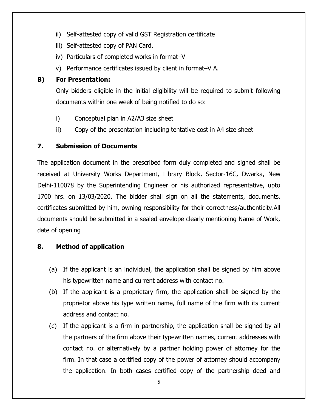- ii) Self-attested copy of valid GST Registration certificate
- iii) Self-attested copy of PAN Card.
- iv) Particulars of completed works in format–V
- v) Performance certificates issued by client in format–V A.

# **B) For Presentation:**

Only bidders eligible in the initial eligibility will be required to submit following documents within one week of being notified to do so:

- i) Conceptual plan in A2/A3 size sheet
- ii) Copy of the presentation including tentative cost in A4 size sheet

# **7. Submission of Documents**

The application document in the prescribed form duly completed and signed shall be received at University Works Department, Library Block, Sector-16C, Dwarka, New Delhi-110078 by the Superintending Engineer or his authorized representative, upto 1700 hrs. on 13/03/2020. The bidder shall sign on all the statements, documents, certificates submitted by him, owning responsibility for their correctness/authenticity.All documents should be submitted in a sealed envelope clearly mentioning Name of Work, date of opening

# **8. Method of application**

- (a) If the applicant is an individual, the application shall be signed by him above his typewritten name and current address with contact no.
- (b) If the applicant is a proprietary firm, the application shall be signed by the proprietor above his type written name, full name of the firm with its current address and contact no.
- (c) If the applicant is a firm in partnership, the application shall be signed by all the partners of the firm above their typewritten names, current addresses with contact no. or alternatively by a partner holding power of attorney for the firm. In that case a certified copy of the power of attorney should accompany the application. In both cases certified copy of the partnership deed and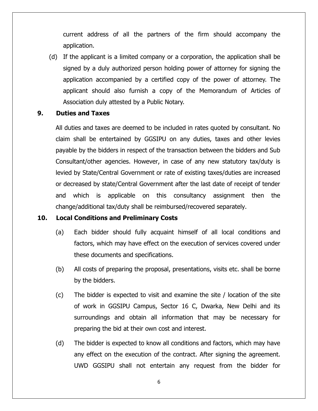current address of all the partners of the firm should accompany the application.

(d) If the applicant is a limited company or a corporation, the application shall be signed by a duly authorized person holding power of attorney for signing the application accompanied by a certified copy of the power of attorney. The applicant should also furnish a copy of the Memorandum of Articles of Association duly attested by a Public Notary.

#### **9. Duties and Taxes**

All duties and taxes are deemed to be included in rates quoted by consultant. No claim shall be entertained by GGSIPU on any duties, taxes and other levies payable by the bidders in respect of the transaction between the bidders and Sub Consultant/other agencies. However, in case of any new statutory tax/duty is levied by State/Central Government or rate of existing taxes/duties are increased or decreased by state/Central Government after the last date of receipt of tender and which is applicable on this consultancy assignment then the change/additional tax/duty shall be reimbursed/recovered separately.

#### **10. Local Conditions and Preliminary Costs**

- (a) Each bidder should fully acquaint himself of all local conditions and factors, which may have effect on the execution of services covered under these documents and specifications.
- (b) All costs of preparing the proposal, presentations, visits etc. shall be borne by the bidders.
- (c) The bidder is expected to visit and examine the site / location of the site of work in GGSIPU Campus, Sector 16 C, Dwarka, New Delhi and its surroundings and obtain all information that may be necessary for preparing the bid at their own cost and interest.
- (d) The bidder is expected to know all conditions and factors, which may have any effect on the execution of the contract. After signing the agreement. UWD GGSIPU shall not entertain any request from the bidder for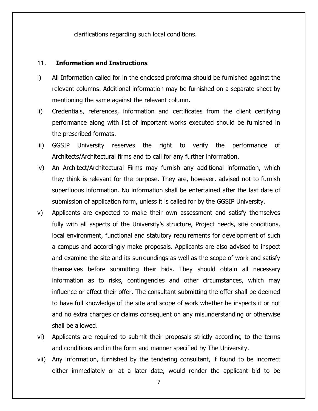clarifications regarding such local conditions.

#### 11. **Information and Instructions**

- i) All Information called for in the enclosed proforma should be furnished against the relevant columns. Additional information may be furnished on a separate sheet by mentioning the same against the relevant column.
- ii) Credentials, references, information and certificates from the client certifying performance along with list of important works executed should be furnished in the prescribed formats.
- iii) GGSIP University reserves the right to verify the performance of Architects/Architectural firms and to call for any further information.
- iv) An Architect/Architectural Firms may furnish any additional information, which they think is relevant for the purpose. They are, however, advised not to furnish superfluous information. No information shall be entertained after the last date of submission of application form, unless it is called for by the GGSIP University.
- v) Applicants are expected to make their own assessment and satisfy themselves fully with all aspects of the University's structure, Project needs, site conditions, local environment, functional and statutory requirements for development of such a campus and accordingly make proposals. Applicants are also advised to inspect and examine the site and its surroundings as well as the scope of work and satisfy themselves before submitting their bids. They should obtain all necessary information as to risks, contingencies and other circumstances, which may influence or affect their offer. The consultant submitting the offer shall be deemed to have full knowledge of the site and scope of work whether he inspects it or not and no extra charges or claims consequent on any misunderstanding or otherwise shall be allowed.
- vi) Applicants are required to submit their proposals strictly according to the terms and conditions and in the form and manner specified by The University.
- vii) Any information, furnished by the tendering consultant, if found to be incorrect either immediately or at a later date, would render the applicant bid to be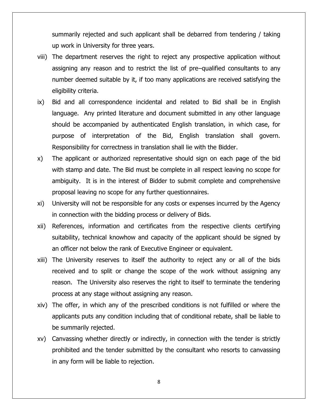summarily rejected and such applicant shall be debarred from tendering / taking up work in University for three years.

- viii) The department reserves the right to reject any prospective application without assigning any reason and to restrict the list of pre–qualified consultants to any number deemed suitable by it, if too many applications are received satisfying the eligibility criteria.
- ix) Bid and all correspondence incidental and related to Bid shall be in English language. Any printed literature and document submitted in any other language should be accompanied by authenticated English translation, in which case, for purpose of interpretation of the Bid, English translation shall govern. Responsibility for correctness in translation shall lie with the Bidder.
- x) The applicant or authorized representative should sign on each page of the bid with stamp and date. The Bid must be complete in all respect leaving no scope for ambiguity. It is in the interest of Bidder to submit complete and comprehensive proposal leaving no scope for any further questionnaires.
- xi) University will not be responsible for any costs or expenses incurred by the Agency in connection with the bidding process or delivery of Bids.
- xii) References, information and certificates from the respective clients certifying suitability, technical knowhow and capacity of the applicant should be signed by an officer not below the rank of Executive Engineer or equivalent.
- xiii) The University reserves to itself the authority to reject any or all of the bids received and to split or change the scope of the work without assigning any reason. The University also reserves the right to itself to terminate the tendering process at any stage without assigning any reason.
- xiv) The offer, in which any of the prescribed conditions is not fulfilled or where the applicants puts any condition including that of conditional rebate, shall be liable to be summarily rejected.
- xv) Canvassing whether directly or indirectly, in connection with the tender is strictly prohibited and the tender submitted by the consultant who resorts to canvassing in any form will be liable to rejection.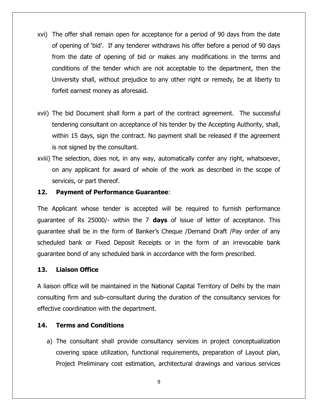- xvi) The offer shall remain open for acceptance for a period of 90 days from the date of opening of "bid". If any tenderer withdraws his offer before a period of 90 days from the date of opening of bid or makes any modifications in the terms and conditions of the tender which are not acceptable to the department, then the University shall, without prejudice to any other right or remedy, be at liberty to forfeit earnest money as aforesaid.
- xvii) The bid Document shall form a part of the contract agreement. The successful tendering consultant on acceptance of his tender by the Accepting Authority, shall, within 15 days, sign the contract. No payment shall be released if the agreement is not signed by the consultant.
- xviii) The selection, does not, in any way, automatically confer any right, whatsoever, on any applicant for award of whole of the work as described in the scope of services, or part thereof.

#### **12. Payment of Performance Guarantee**:

The Applicant whose tender is accepted will be required to furnish performance guarantee of Rs 25000/- within the 7 **days** of issue of letter of acceptance. This guarantee shall be in the form of Banker"s Cheque /Demand Draft /Pay order of any scheduled bank or Fixed Deposit Receipts or in the form of an irrevocable bank guarantee bond of any scheduled bank in accordance with the form prescribed.

#### **13. Liaison Office**

A liaison office will be maintained in the National Capital Territory of Delhi by the main consulting firm and sub–consultant during the duration of the consultancy services for effective coordination with the department.

### **14. Terms and Conditions**

a) The consultant shall provide consultancy services in project conceptualization covering space utilization, functional requirements, preparation of Layout plan, Project Preliminary cost estimation, architectural drawings and various services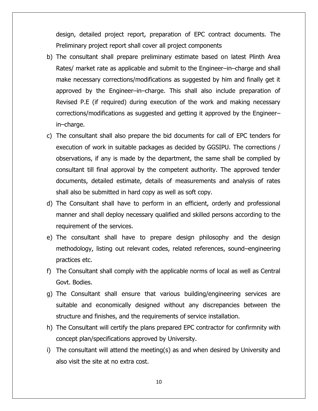design, detailed project report, preparation of EPC contract documents. The Preliminary project report shall cover all project components

- b) The consultant shall prepare preliminary estimate based on latest Plinth Area Rates/ market rate as applicable and submit to the Engineer–in–charge and shall make necessary corrections/modifications as suggested by him and finally get it approved by the Engineer–in–charge. This shall also include preparation of Revised P.E (if required) during execution of the work and making necessary corrections/modifications as suggested and getting it approved by the Engineer– in–charge.
- c) The consultant shall also prepare the bid documents for call of EPC tenders for execution of work in suitable packages as decided by GGSIPU. The corrections / observations, if any is made by the department, the same shall be complied by consultant till final approval by the competent authority. The approved tender documents, detailed estimate, details of measurements and analysis of rates shall also be submitted in hard copy as well as soft copy.
- d) The Consultant shall have to perform in an efficient, orderly and professional manner and shall deploy necessary qualified and skilled persons according to the requirement of the services.
- e) The consultant shall have to prepare design philosophy and the design methodology, listing out relevant codes, related references, sound–engineering practices etc.
- f) The Consultant shall comply with the applicable norms of local as well as Central Govt. Bodies.
- g) The Consultant shall ensure that various building/engineering services are suitable and economically designed without any discrepancies between the structure and finishes, and the requirements of service installation.
- h) The Consultant will certify the plans prepared EPC contractor for confirmnity with concept plan/specifications approved by University.
- i) The consultant will attend the meeting(s) as and when desired by University and also visit the site at no extra cost.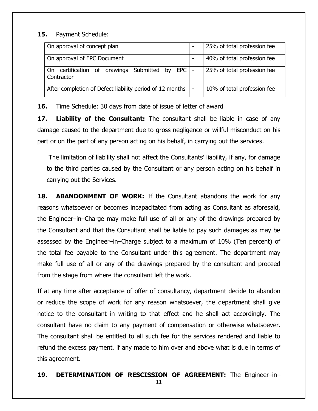#### **15.** Payment Schedule:

| On approval of concept plan                                    | 25% of total profession fee |  |  |
|----------------------------------------------------------------|-----------------------------|--|--|
| On approval of EPC Document                                    | 40% of total profession fee |  |  |
| On certification of drawings Submitted by EPC  -<br>Contractor | 25% of total profession fee |  |  |
| After completion of Defect liability period of 12 months   -   | 10% of total profession fee |  |  |

**16.** Time Schedule: 30 days from date of issue of letter of award

**17. Liability of the Consultant:** The consultant shall be liable in case of any damage caused to the department due to gross negligence or willful misconduct on his part or on the part of any person acting on his behalf, in carrying out the services.

The limitation of liability shall not affect the Consultants" liability, if any, for damage to the third parties caused by the Consultant or any person acting on his behalf in carrying out the Services.

**18. ABANDONMENT OF WORK:** If the Consultant abandons the work for any reasons whatsoever or becomes incapacitated from acting as Consultant as aforesaid, the Engineer–in–Charge may make full use of all or any of the drawings prepared by the Consultant and that the Consultant shall be liable to pay such damages as may be assessed by the Engineer–in–Charge subject to a maximum of 10% (Ten percent) of the total fee payable to the Consultant under this agreement. The department may make full use of all or any of the drawings prepared by the consultant and proceed from the stage from where the consultant left the work.

If at any time after acceptance of offer of consultancy, department decide to abandon or reduce the scope of work for any reason whatsoever, the department shall give notice to the consultant in writing to that effect and he shall act accordingly. The consultant have no claim to any payment of compensation or otherwise whatsoever. The consultant shall be entitled to all such fee for the services rendered and liable to refund the excess payment, if any made to him over and above what is due in terms of this agreement.

# **19. DETERMINATION OF RESCISSION OF AGREEMENT:** The Engineer–in–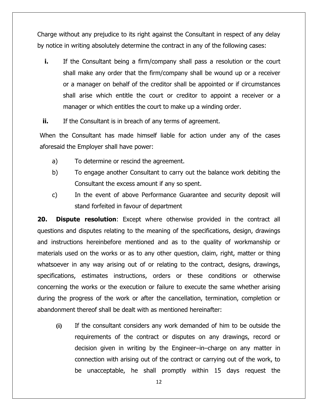Charge without any prejudice to its right against the Consultant in respect of any delay by notice in writing absolutely determine the contract in any of the following cases:

**i.** If the Consultant being a firm/company shall pass a resolution or the court shall make any order that the firm/company shall be wound up or a receiver or a manager on behalf of the creditor shall be appointed or if circumstances shall arise which entitle the court or creditor to appoint a receiver or a manager or which entitles the court to make up a winding order.

**ii.** If the Consultant is in breach of any terms of agreement.

When the Consultant has made himself liable for action under any of the cases aforesaid the Employer shall have power:

- a) To determine or rescind the agreement.
- b) To engage another Consultant to carry out the balance work debiting the Consultant the excess amount if any so spent.
- c) In the event of above Performance Guarantee and security deposit will stand forfeited in favour of department

**20. Dispute resolution**: Except where otherwise provided in the contract all questions and disputes relating to the meaning of the specifications, design, drawings and instructions hereinbefore mentioned and as to the quality of workmanship or materials used on the works or as to any other question, claim, right, matter or thing whatsoever in any way arising out of or relating to the contract, designs, drawings, specifications, estimates instructions, orders or these conditions or otherwise concerning the works or the execution or failure to execute the same whether arising during the progress of the work or after the cancellation, termination, completion or abandonment thereof shall be dealt with as mentioned hereinafter:

**(i)** If the consultant considers any work demanded of him to be outside the requirements of the contract or disputes on any drawings, record or decision given in writing by the Engineer–in–charge on any matter in connection with arising out of the contract or carrying out of the work, to be unacceptable, he shall promptly within 15 days request the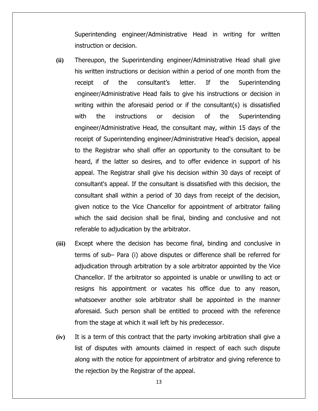Superintending engineer/Administrative Head in writing for written instruction or decision.

- **(ii)** Thereupon, the Superintending engineer/Administrative Head shall give his written instructions or decision within a period of one month from the receipt of the consultant"s letter. If the Superintending engineer/Administrative Head fails to give his instructions or decision in writing within the aforesaid period or if the consultant(s) is dissatisfied with the instructions or decision of the Superintending engineer/Administrative Head, the consultant may, within 15 days of the receipt of Superintending engineer/Administrative Head's decision, appeal to the Registrar who shall offer an opportunity to the consultant to be heard, if the latter so desires, and to offer evidence in support of his appeal. The Registrar shall give his decision within 30 days of receipt of consultant's appeal. If the consultant is dissatisfied with this decision, the consultant shall within a period of 30 days from receipt of the decision, given notice to the Vice Chancellor for appointment of arbitrator failing which the said decision shall be final, binding and conclusive and not referable to adjudication by the arbitrator.
- **(iii)** Except where the decision has become final, binding and conclusive in terms of sub– Para (i) above disputes or difference shall be referred for adjudication through arbitration by a sole arbitrator appointed by the Vice Chancellor. If the arbitrator so appointed is unable or unwilling to act or resigns his appointment or vacates his office due to any reason, whatsoever another sole arbitrator shall be appointed in the manner aforesaid. Such person shall be entitled to proceed with the reference from the stage at which it wall left by his predecessor.
- **(iv)** It is a term of this contract that the party invoking arbitration shall give a list of disputes with amounts claimed in respect of each such dispute along with the notice for appointment of arbitrator and giving reference to the rejection by the Registrar of the appeal.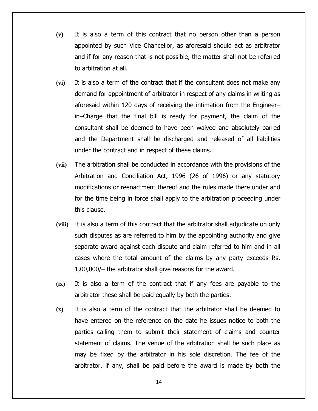- **(v)** It is also a term of this contract that no person other than a person appointed by such Vice Chancellor, as aforesaid should act as arbitrator and if for any reason that is not possible, the matter shall not be referred to arbitration at all.
- **(vi)** It is also a term of the contract that if the consultant does not make any demand for appointment of arbitrator in respect of any claims in writing as aforesaid within 120 days of receiving the intimation from the Engineer– in–Charge that the final bill is ready for payment, the claim of the consultant shall be deemed to have been waived and absolutely barred and the Department shall be discharged and released of all liabilities under the contract and in respect of these claims.
- **(vii)** The arbitration shall be conducted in accordance with the provisions of the Arbitration and Conciliation Act, 1996 (26 of 1996) or any statutory modifications or reenactment thereof and the rules made there under and for the time being in force shall apply to the arbitration proceeding under this clause.
- **(viii)** It is also a term of this contract that the arbitrator shall adjudicate on only such disputes as are referred to him by the appointing authority and give separate award against each dispute and claim referred to him and in all cases where the total amount of the claims by any party exceeds Rs. 1,00,000/– the arbitrator shall give reasons for the award.
- **(ix)** It is also a term of the contract that if any fees are payable to the arbitrator these shall be paid equally by both the parties.
- **(x)** It is also a term of the contract that the arbitrator shall be deemed to have entered on the reference on the date he issues notice to both the parties calling them to submit their statement of claims and counter statement of claims. The venue of the arbitration shall be such place as may be fixed by the arbitrator in his sole discretion. The fee of the arbitrator, if any, shall be paid before the award is made by both the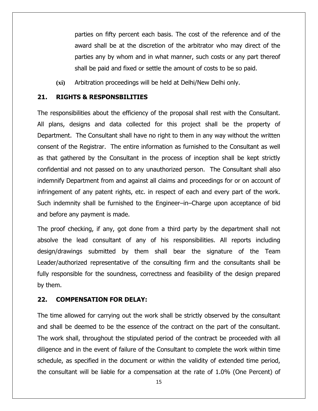parties on fifty percent each basis. The cost of the reference and of the award shall be at the discretion of the arbitrator who may direct of the parties any by whom and in what manner, such costs or any part thereof shall be paid and fixed or settle the amount of costs to be so paid.

**(xi)** Arbitration proceedings will be held at Delhi/New Delhi only.

#### **21. RIGHTS & RESPONSBILITIES**

The responsibilities about the efficiency of the proposal shall rest with the Consultant. All plans, designs and data collected for this project shall be the property of Department. The Consultant shall have no right to them in any way without the written consent of the Registrar. The entire information as furnished to the Consultant as well as that gathered by the Consultant in the process of inception shall be kept strictly confidential and not passed on to any unauthorized person. The Consultant shall also indemnify Department from and against all claims and proceedings for or on account of infringement of any patent rights, etc. in respect of each and every part of the work. Such indemnity shall be furnished to the Engineer–in–Charge upon acceptance of bid and before any payment is made.

The proof checking, if any, got done from a third party by the department shall not absolve the lead consultant of any of his responsibilities. All reports including design/drawings submitted by them shall bear the signature of the Team Leader/authorized representative of the consulting firm and the consultants shall be fully responsible for the soundness, correctness and feasibility of the design prepared by them.

#### **22. COMPENSATION FOR DELAY:**

The time allowed for carrying out the work shall be strictly observed by the consultant and shall be deemed to be the essence of the contract on the part of the consultant. The work shall, throughout the stipulated period of the contract be proceeded with all diligence and in the event of failure of the Consultant to complete the work within time schedule, as specified in the document or within the validity of extended time period, the consultant will be liable for a compensation at the rate of 1.0% (One Percent) of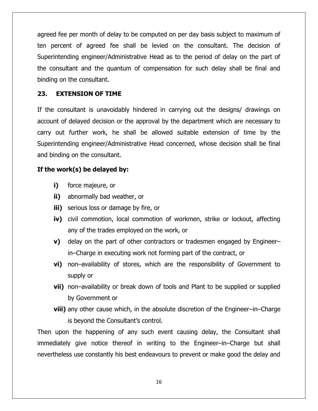agreed fee per month of delay to be computed on per day basis subject to maximum of ten percent of agreed fee shall be levied on the consultant. The decision of Superintending engineer/Administrative Head as to the period of delay on the part of the consultant and the quantum of compensation for such delay shall be final and binding on the consultant.

## **23. EXTENSION OF TIME**

If the consultant is unavoidably hindered in carrying out the designs/ drawings on account of delayed decision or the approval by the department which are necessary to carry out further work, he shall be allowed suitable extension of time by the Superintending engineer/Administrative Head concerned, whose decision shall be final and binding on the consultant.

# **If the work(s) be delayed by:**

- **i)** force majeure, or
- **ii)** abnormally bad weather, or
- **iii)** serious loss or damage by fire, or
- **iv)** civil commotion, local commotion of workmen, strike or lockout, affecting any of the trades employed on the work, or
- **v)** delay on the part of other contractors or tradesmen engaged by Engineer– in–Charge in executing work not forming part of the contract, or
- **vi)** non–availability of stores, which are the responsibility of Government to supply or
- **vii)** non–availability or break down of tools and Plant to be supplied or supplied by Government or
- **viii)** any other cause which, in the absolute discretion of the Engineer–in–Charge is beyond the Consultant"s control.

Then upon the happening of any such event causing delay, the Consultant shall immediately give notice thereof in writing to the Engineer–in–Charge but shall nevertheless use constantly his best endeavours to prevent or make good the delay and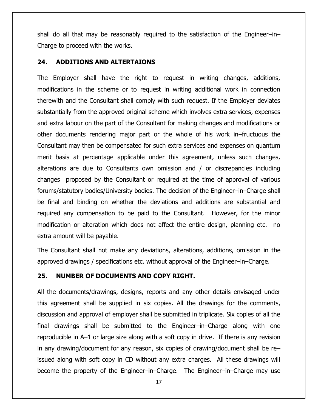shall do all that may be reasonably required to the satisfaction of the Engineer–in– Charge to proceed with the works.

#### **24. ADDITIONS AND ALTERTAIONS**

The Employer shall have the right to request in writing changes, additions, modifications in the scheme or to request in writing additional work in connection therewith and the Consultant shall comply with such request. If the Employer deviates substantially from the approved original scheme which involves extra services, expenses and extra labour on the part of the Consultant for making changes and modifications or other documents rendering major part or the whole of his work in–fructuous the Consultant may then be compensated for such extra services and expenses on quantum merit basis at percentage applicable under this agreement, unless such changes, alterations are due to Consultants own omission and / or discrepancies including changes proposed by the Consultant or required at the time of approval of various forums/statutory bodies/University bodies. The decision of the Engineer–in–Charge shall be final and binding on whether the deviations and additions are substantial and required any compensation to be paid to the Consultant. However, for the minor modification or alteration which does not affect the entire design, planning etc. no extra amount will be payable.

The Consultant shall not make any deviations, alterations, additions, omission in the approved drawings / specifications etc. without approval of the Engineer–in–Charge.

#### **25. NUMBER OF DOCUMENTS AND COPY RIGHT.**

All the documents/drawings, designs, reports and any other details envisaged under this agreement shall be supplied in six copies. All the drawings for the comments, discussion and approval of employer shall be submitted in triplicate. Six copies of all the final drawings shall be submitted to the Engineer–in–Charge along with one reproducible in A–1 or large size along with a soft copy in drive. If there is any revision in any drawing/document for any reason, six copies of drawing/document shall be re– issued along with soft copy in CD without any extra charges. All these drawings will become the property of the Engineer–in–Charge. The Engineer–in–Charge may use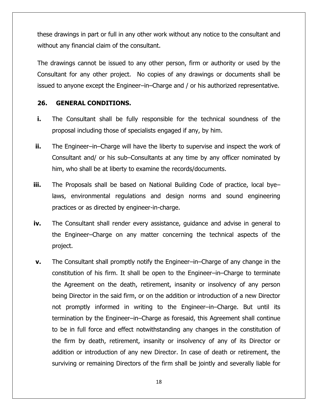these drawings in part or full in any other work without any notice to the consultant and without any financial claim of the consultant.

The drawings cannot be issued to any other person, firm or authority or used by the Consultant for any other project. No copies of any drawings or documents shall be issued to anyone except the Engineer–in–Charge and / or his authorized representative.

## **26. GENERAL CONDITIONS.**

- **i.** The Consultant shall be fully responsible for the technical soundness of the proposal including those of specialists engaged if any, by him.
- **ii.** The Engineer–in–Charge will have the liberty to supervise and inspect the work of Consultant and/ or his sub–Consultants at any time by any officer nominated by him, who shall be at liberty to examine the records/documents.
- **iii.** The Proposals shall be based on National Building Code of practice, local byelaws, environmental regulations and design norms and sound engineering practices or as directed by engineer-in-charge.
- **iv.** The Consultant shall render every assistance, guidance and advise in general to the Engineer–Charge on any matter concerning the technical aspects of the project.
- **v.** The Consultant shall promptly notify the Engineer–in–Charge of any change in the constitution of his firm. It shall be open to the Engineer–in–Charge to terminate the Agreement on the death, retirement, insanity or insolvency of any person being Director in the said firm, or on the addition or introduction of a new Director not promptly informed in writing to the Engineer–in–Charge. But until its termination by the Engineer–in–Charge as foresaid, this Agreement shall continue to be in full force and effect notwithstanding any changes in the constitution of the firm by death, retirement, insanity or insolvency of any of its Director or addition or introduction of any new Director. In case of death or retirement, the surviving or remaining Directors of the firm shall be jointly and severally liable for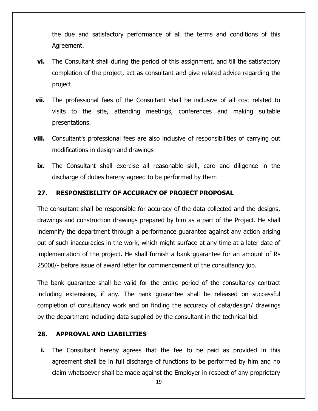the due and satisfactory performance of all the terms and conditions of this Agreement.

- **vi.** The Consultant shall during the period of this assignment, and till the satisfactory completion of the project, act as consultant and give related advice regarding the project.
- **vii.** The professional fees of the Consultant shall be inclusive of all cost related to visits to the site, attending meetings, conferences and making suitable presentations.
- viii. Consultant's professional fees are also inclusive of responsibilities of carrying out modifications in design and drawings
	- **ix.** The Consultant shall exercise all reasonable skill, care and diligence in the discharge of duties hereby agreed to be performed by them

#### **27. RESPONSIBILITY OF ACCURACY OF PROJECT PROPOSAL**

The consultant shall be responsible for accuracy of the data collected and the designs, drawings and construction drawings prepared by him as a part of the Project. He shall indemnify the department through a performance guarantee against any action arising out of such inaccuracies in the work, which might surface at any time at a later date of implementation of the project. He shall furnish a bank guarantee for an amount of Rs 25000/- before issue of award letter for commencement of the consultancy job.

The bank guarantee shall be valid for the entire period of the consultancy contract including extensions, if any. The bank guarantee shall be released on successful completion of consultancy work and on finding the accuracy of data/design/ drawings by the department including data supplied by the consultant in the technical bid.

#### **28. APPROVAL AND LIABILITIES**

**i.** The Consultant hereby agrees that the fee to be paid as provided in this agreement shall be in full discharge of functions to be performed by him and no claim whatsoever shall be made against the Employer in respect of any proprietary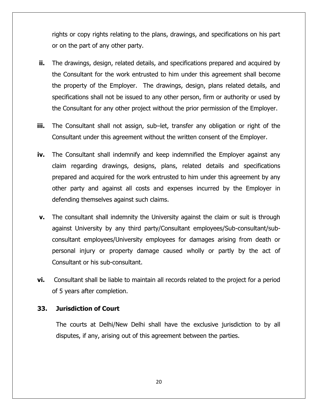rights or copy rights relating to the plans, drawings, and specifications on his part or on the part of any other party.

- **ii.** The drawings, design, related details, and specifications prepared and acquired by the Consultant for the work entrusted to him under this agreement shall become the property of the Employer. The drawings, design, plans related details, and specifications shall not be issued to any other person, firm or authority or used by the Consultant for any other project without the prior permission of the Employer.
- **iii.** The Consultant shall not assign, sub–let, transfer any obligation or right of the Consultant under this agreement without the written consent of the Employer.
- **iv.** The Consultant shall indemnify and keep indemnified the Employer against any claim regarding drawings, designs, plans, related details and specifications prepared and acquired for the work entrusted to him under this agreement by any other party and against all costs and expenses incurred by the Employer in defending themselves against such claims.
- **v.** The consultant shall indemnity the University against the claim or suit is through against University by any third party/Consultant employees/Sub-consultant/subconsultant employees/University employees for damages arising from death or personal injury or property damage caused wholly or partly by the act of Consultant or his sub-consultant.
- **vi.** Consultant shall be liable to maintain all records related to the project for a period of 5 years after completion.

#### **33. Jurisdiction of Court**

The courts at Delhi/New Delhi shall have the exclusive jurisdiction to by all disputes, if any, arising out of this agreement between the parties.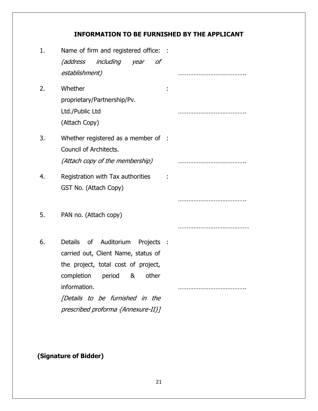# **INFORMATION TO BE FURNISHED BY THE APPLICANT**

| 1. | Name of firm and registered office: :<br>(address including year of<br>establishment)                                                                                                                                                |  |
|----|--------------------------------------------------------------------------------------------------------------------------------------------------------------------------------------------------------------------------------------|--|
| 2. | Whether<br>proprietary/Partnership/Pv.<br>Ltd./Public Ltd<br>(Attach Copy)                                                                                                                                                           |  |
| 3. | Whether registered as a member of :<br>Council of Architects.<br>(Attach copy of the membership)                                                                                                                                     |  |
| 4. | Registration with Tax authorities<br>GST No. (Attach Copy)                                                                                                                                                                           |  |
| 5. | PAN no. (Attach copy)                                                                                                                                                                                                                |  |
| 6. | Details of Auditorium Projects :<br>carried out, Client Name, status of<br>the project, total cost of project,<br>completion period & other<br>information.<br>[Details to be furnished in the<br>prescribed proforma {Annexure-II}] |  |

# **(Signature of Bidder)**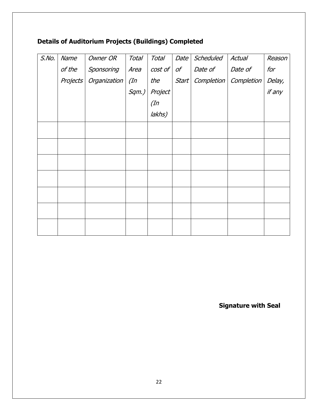# **Details of Auditorium Projects (Buildings) Completed**

| $S$ .No. | Name     | <b>Owner OR</b> | <b>Total</b> | <b>Total</b> | Date           | Scheduled  | Actual     | Reason |
|----------|----------|-----------------|--------------|--------------|----------------|------------|------------|--------|
|          | of the   | Sponsoring      | Area         | $cost$ of    | $\mathcal{O}f$ | Date of    | Date of    | for    |
|          | Projects | Organization    | $($ In       | the          | <b>Start</b>   | Completion | Completion | Delay, |
|          |          |                 | Sqm.)        | Project      |                |            |            | if any |
|          |          |                 |              | $($ In       |                |            |            |        |
|          |          |                 |              | lakhs)       |                |            |            |        |
|          |          |                 |              |              |                |            |            |        |
|          |          |                 |              |              |                |            |            |        |
|          |          |                 |              |              |                |            |            |        |
|          |          |                 |              |              |                |            |            |        |
|          |          |                 |              |              |                |            |            |        |
|          |          |                 |              |              |                |            |            |        |
|          |          |                 |              |              |                |            |            |        |
|          |          |                 |              |              |                |            |            |        |
|          |          |                 |              |              |                |            |            |        |

**Signature with Seal**